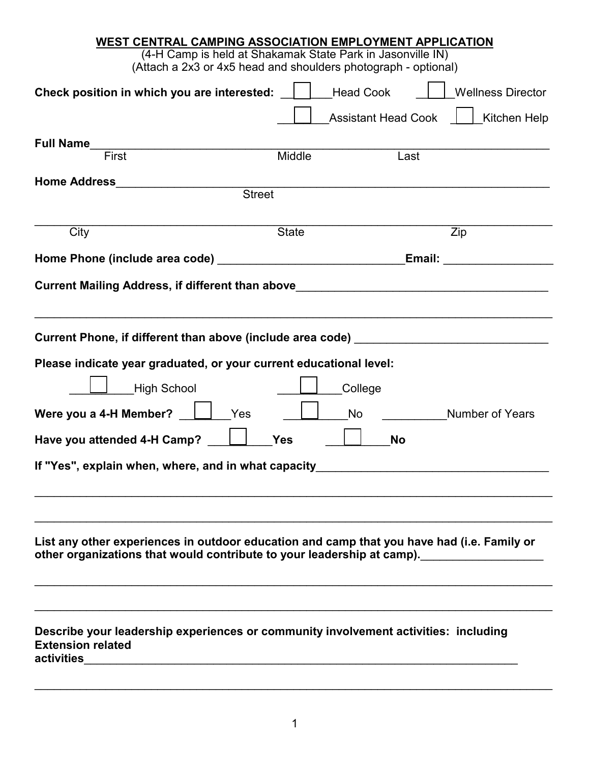| WEST CENTRAL CAMPING ASSOCIATION EMPLOYMENT APPLICATION                                                                                                              |                            |                          |
|----------------------------------------------------------------------------------------------------------------------------------------------------------------------|----------------------------|--------------------------|
| (4-H Camp is held at Shakamak State Park in Jasonville IN)                                                                                                           |                            |                          |
| (Attach a 2x3 or 4x5 head and shoulders photograph - optional)                                                                                                       |                            |                          |
| Check position in which you are interested:                                                                                                                          | <b>Head Cook</b>           | <b>Wellness Director</b> |
|                                                                                                                                                                      | <b>Assistant Head Cook</b> | Kitchen Help             |
| <b>Full Name</b>                                                                                                                                                     |                            |                          |
| First                                                                                                                                                                | Middle                     | Last                     |
| <b>Home Address Exercise Address</b>                                                                                                                                 |                            |                          |
| <b>Street</b>                                                                                                                                                        |                            |                          |
|                                                                                                                                                                      |                            |                          |
| City                                                                                                                                                                 | <b>State</b>               | $\overline{Z}$ ip        |
|                                                                                                                                                                      |                            | Email:                   |
| Current Mailing Address, if different than above________________________________                                                                                     |                            |                          |
|                                                                                                                                                                      |                            |                          |
|                                                                                                                                                                      |                            |                          |
| Current Phone, if different than above (include area code) [19] [19] [19] Current Phone, if different than above (include area code)                                 |                            |                          |
| Please indicate year graduated, or your current educational level:                                                                                                   |                            |                          |
|                                                                                                                                                                      |                            |                          |
| <b>High School</b>                                                                                                                                                   | College                    |                          |
| Were you a 4-H Member?<br>Yes                                                                                                                                        | <b>No</b>                  | <b>Number of Years</b>   |
|                                                                                                                                                                      |                            |                          |
| Have you attended 4-H Camp?                                                                                                                                          | <b>Yes</b>                 | <b>No</b>                |
| If "Yes", explain when, where, and in what capacity_                                                                                                                 |                            |                          |
|                                                                                                                                                                      |                            |                          |
|                                                                                                                                                                      |                            |                          |
|                                                                                                                                                                      |                            |                          |
|                                                                                                                                                                      |                            |                          |
| List any other experiences in outdoor education and camp that you have had (i.e. Family or<br>other organizations that would contribute to your leadership at camp). |                            |                          |
|                                                                                                                                                                      |                            |                          |
|                                                                                                                                                                      |                            |                          |
|                                                                                                                                                                      |                            |                          |
| Describe your leadership experiences or community involvement activities: including                                                                                  |                            |                          |
| <b>Extension related</b>                                                                                                                                             |                            |                          |
|                                                                                                                                                                      |                            |                          |
|                                                                                                                                                                      |                            |                          |

\_\_\_\_\_\_\_\_\_\_\_\_\_\_\_\_\_\_\_\_\_\_\_\_\_\_\_\_\_\_\_\_\_\_\_\_\_\_\_\_\_\_\_\_\_\_\_\_\_\_\_\_\_\_\_\_\_\_\_\_\_\_\_\_\_\_\_\_\_\_\_\_\_\_\_\_\_\_\_\_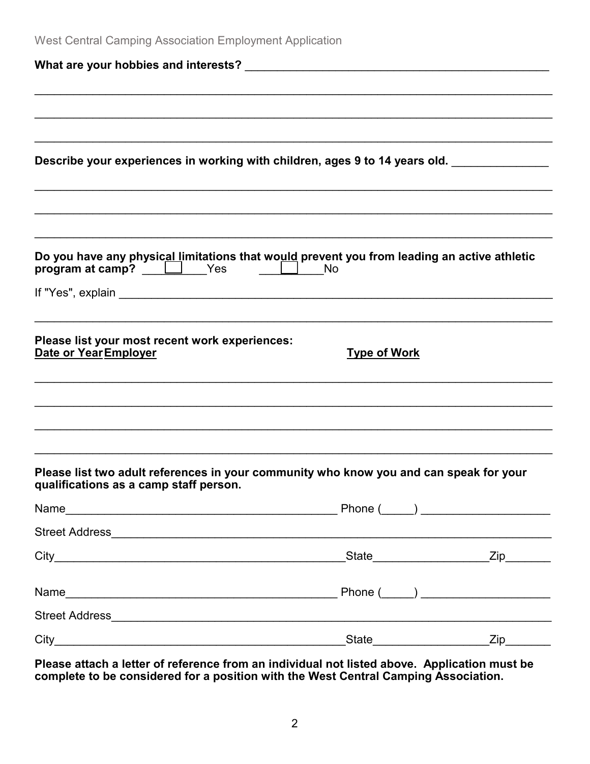| West Central Camping Association Employment Application                                                                          |                     |  |
|----------------------------------------------------------------------------------------------------------------------------------|---------------------|--|
|                                                                                                                                  |                     |  |
|                                                                                                                                  |                     |  |
|                                                                                                                                  |                     |  |
| Describe your experiences in working with children, ages 9 to 14 years old.                                                      |                     |  |
|                                                                                                                                  |                     |  |
|                                                                                                                                  |                     |  |
|                                                                                                                                  |                     |  |
| Do you have any physical limitations that would prevent you from leading an active athletic<br>program at camp? U Yes U No       |                     |  |
|                                                                                                                                  |                     |  |
| Please list your most recent work experiences:<br>Date or Year Employer                                                          | <b>Type of Work</b> |  |
|                                                                                                                                  |                     |  |
|                                                                                                                                  |                     |  |
|                                                                                                                                  |                     |  |
| Please list two adult references in your community who know you and can speak for your<br>qualifications as a camp staff person. |                     |  |
|                                                                                                                                  |                     |  |
|                                                                                                                                  |                     |  |
|                                                                                                                                  |                     |  |
|                                                                                                                                  |                     |  |
|                                                                                                                                  |                     |  |
|                                                                                                                                  |                     |  |

**Please attach a letter of reference from an individual not listed above. Application must be complete to be considered for a position with the West Central Camping Association.**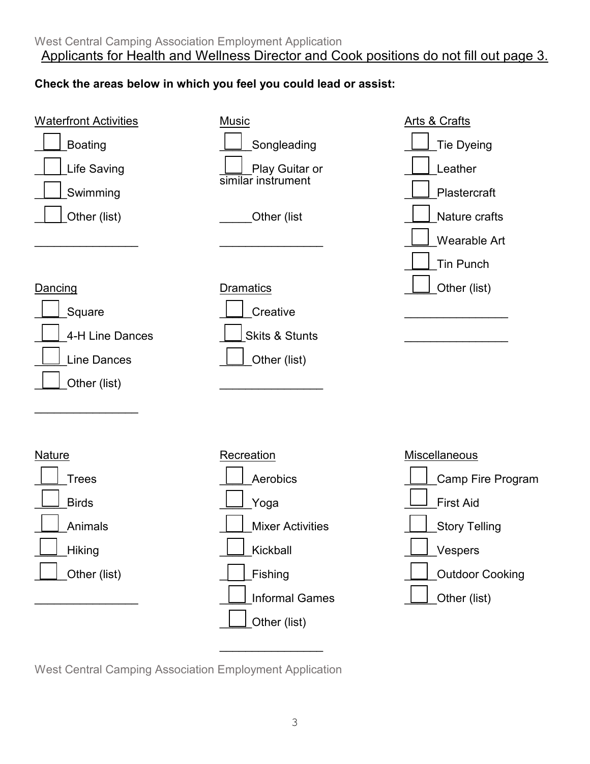## **Check the areas below in which you feel you could lead or assist:**



West Central Camping Association Employment Application